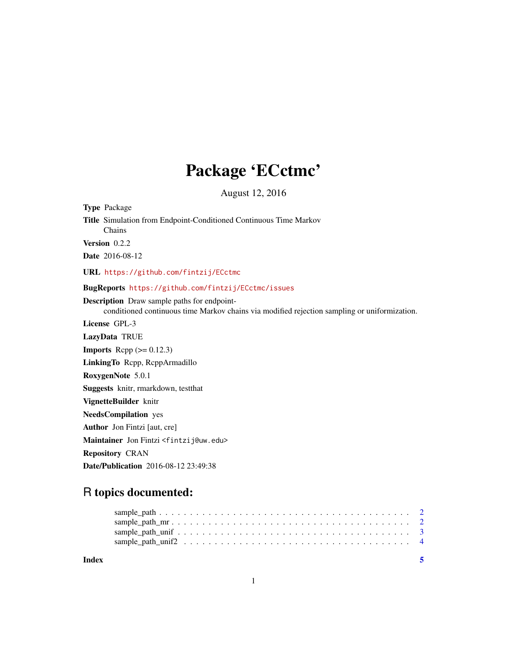## Package 'ECctmc'

August 12, 2016

Type Package Title Simulation from Endpoint-Conditioned Continuous Time Markov Chains Version 0.2.2 Date 2016-08-12 URL <https://github.com/fintzij/ECctmc> BugReports <https://github.com/fintzij/ECctmc/issues> Description Draw sample paths for endpointconditioned continuous time Markov chains via modified rejection sampling or uniformization. License GPL-3 LazyData TRUE **Imports** Rcpp  $(>= 0.12.3)$ LinkingTo Rcpp, RcppArmadillo RoxygenNote 5.0.1 Suggests knitr, rmarkdown, testthat VignetteBuilder knitr NeedsCompilation yes Author Jon Fintzi [aut, cre] Maintainer Jon Fintzi <fintzij@uw.edu>

Repository CRAN

Date/Publication 2016-08-12 23:49:38

### R topics documented:

| Index |  | - 5 |
|-------|--|-----|
|       |  |     |
|       |  |     |
|       |  |     |
|       |  |     |

1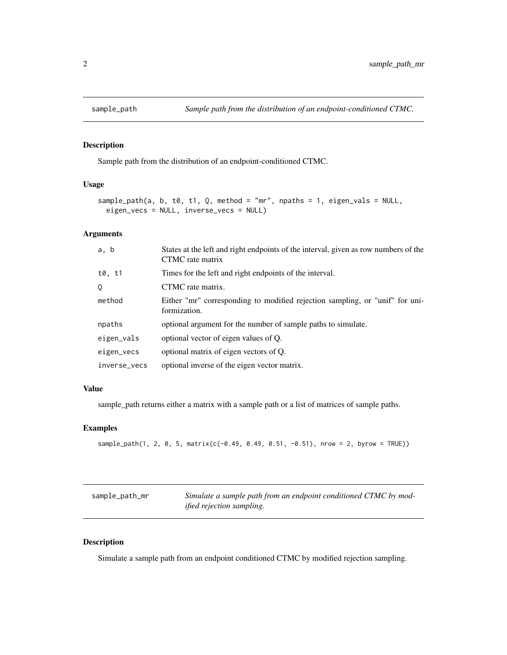<span id="page-1-0"></span>

#### Description

Sample path from the distribution of an endpoint-conditioned CTMC.

#### Usage

```
sample_path(a, b, t0, t1, Q, method = "mr", npaths = 1, eigen_vals = NULL,
eigen_vecs = NULL, inverse_vecs = NULL)
```
#### Arguments

| a, b         | States at the left and right endpoints of the interval, given as row numbers of the<br>CTMC rate matrix |
|--------------|---------------------------------------------------------------------------------------------------------|
| t0. t1       | Times for the left and right endpoints of the interval.                                                 |
| 0            | CTMC rate matrix.                                                                                       |
| method       | Either "mr" corresponding to modified rejection sampling, or "unif" for uni-<br>formization.            |
| npaths       | optional argument for the number of sample paths to simulate.                                           |
| eigen_vals   | optional vector of eigen values of Q.                                                                   |
| eigen_vecs   | optional matrix of eigen vectors of Q.                                                                  |
| inverse_vecs | optional inverse of the eigen vector matrix.                                                            |

#### Value

sample\_path returns either a matrix with a sample path or a list of matrices of sample paths.

#### Examples

```
sample\_path(1, 2, 0, 5, matrix(c(-0.49, 0.49, 0.51, -0.51), nrow = 2, byrow = TRUE))
```

| sample_path_mr | Simulate a sample path from an endpoint conditioned CTMC by mod- |
|----------------|------------------------------------------------------------------|
|                | <i>ified rejection sampling.</i>                                 |

#### Description

Simulate a sample path from an endpoint conditioned CTMC by modified rejection sampling.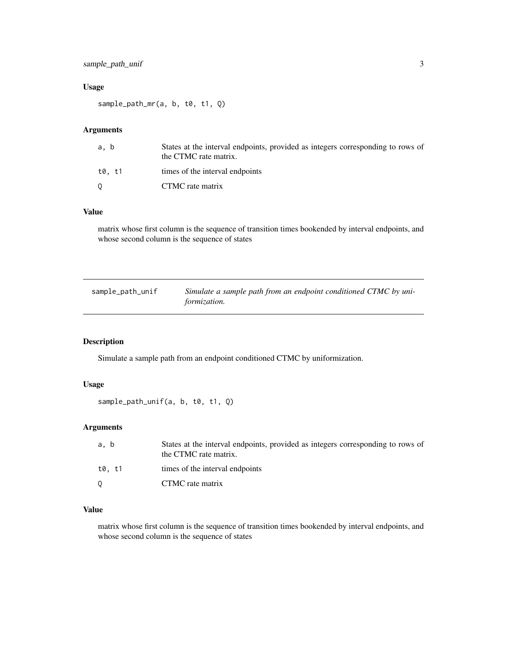#### <span id="page-2-0"></span>sample\_path\_unif 3

#### Usage

sample\_path\_mr(a, b, t0, t1, Q)

#### Arguments

| States at the interval endpoints, provided as integers corresponding to rows of<br>a. b<br>the CTMC rate matrix. |  |
|------------------------------------------------------------------------------------------------------------------|--|
| t0. t1<br>times of the interval endpoints                                                                        |  |
| CTMC rate matrix                                                                                                 |  |

#### Value

matrix whose first column is the sequence of transition times bookended by interval endpoints, and whose second column is the sequence of states

| sample_path_unif | Simulate a sample path from an endpoint conditioned CTMC by uni- |
|------------------|------------------------------------------------------------------|
|                  | <i>formization.</i>                                              |

#### Description

Simulate a sample path from an endpoint conditioned CTMC by uniformization.

#### Usage

```
sample_path_unif(a, b, t0, t1, Q)
```
#### Arguments

| a. b   | States at the interval endpoints, provided as integers corresponding to rows of<br>the CTMC rate matrix. |
|--------|----------------------------------------------------------------------------------------------------------|
| t0. t1 | times of the interval endpoints                                                                          |
|        | CTMC rate matrix                                                                                         |

#### Value

matrix whose first column is the sequence of transition times bookended by interval endpoints, and whose second column is the sequence of states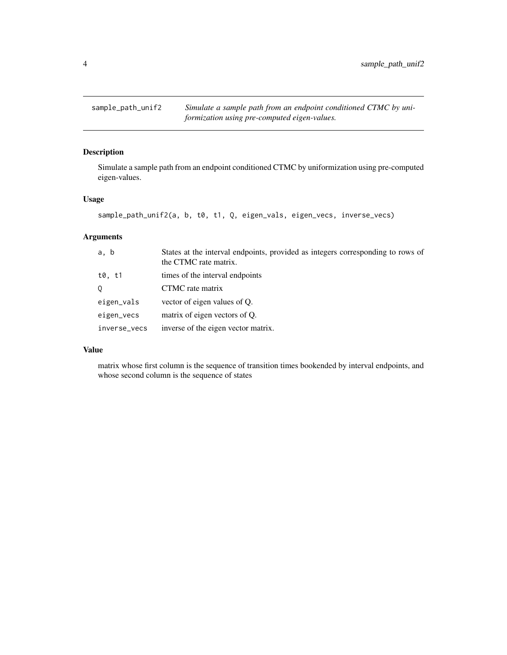<span id="page-3-0"></span>sample\_path\_unif2 *Simulate a sample path from an endpoint conditioned CTMC by uniformization using pre-computed eigen-values.*

#### Description

Simulate a sample path from an endpoint conditioned CTMC by uniformization using pre-computed eigen-values.

#### Usage

```
sample_path_unif2(a, b, t0, t1, Q, eigen_vals, eigen_vecs, inverse_vecs)
```
#### Arguments

| a, b         | States at the interval endpoints, provided as integers corresponding to rows of<br>the CTMC rate matrix. |
|--------------|----------------------------------------------------------------------------------------------------------|
| t0. t1       | times of the interval endpoints                                                                          |
|              | CTMC rate matrix                                                                                         |
| eigen_vals   | vector of eigen values of Q.                                                                             |
| eigen_vecs   | matrix of eigen vectors of Q.                                                                            |
| inverse_vecs | inverse of the eigen vector matrix.                                                                      |

#### Value

matrix whose first column is the sequence of transition times bookended by interval endpoints, and whose second column is the sequence of states